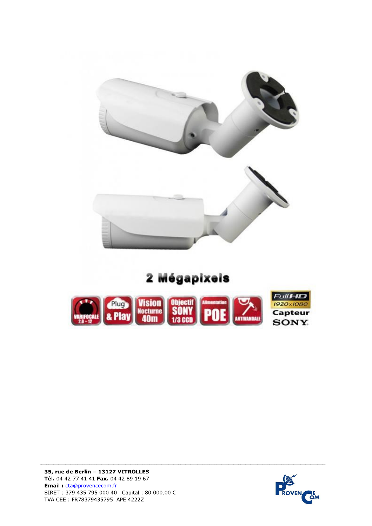

## 2 Mégapixels



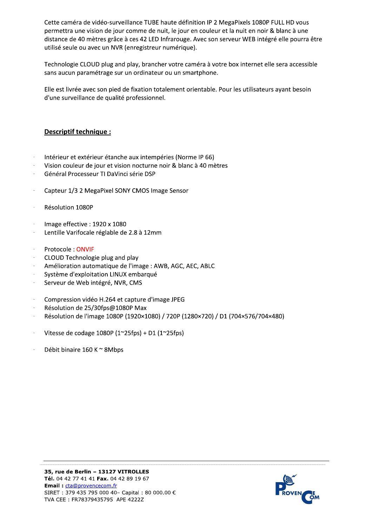Cette caméra de vidéo-surveillance TUBE haute définition IP 2 MegaPixels 1080P FULL HD vous permettra une vision de jour comme de nuit, le jour en couleur et la nuit en noir & blanc à une distance de 40 mètres grâce à ces 42 LED Infrarouge. Avec son serveur WEB intégré elle pourra être utilisé seule ou avec un NVR (enregistreur numérique).

Technologie CLOUD plug and play, brancher votre caméra à votre box internet elle sera accessible sans aucun paramétrage sur un ordinateur ou un smartphone.

Elle est livrée avec son pied de fixation totalement orientable. Pour les utilisateurs ayant besoin d'une surveillance de qualité professionnel.

## Descriptif technique :

- Intérieur et extérieur étanche aux intempéries (Norme IP 66)
- Vision couleur de jour et vision nocturne noir & blanc à 40 mètres
- Général Processeur TI DaVinci série DSP
- Capteur 1/3 2 MegaPixel SONY CMOS Image Sensor
- Résolution 1080P
- Image effective: 1920 x 1080
- Lentille Varifocale réglable de 2.8 à 12mm  $\sim$
- Protocole: ONVIF
- CLOUD Technologie plug and play
- Amélioration automatique de l'image : AWB, AGC, AEC, ABLC
- Système d'exploitation LINUX embarqué
- Serveur de Web intégré, NVR, CMS
- Compression vidéo H.264 et capture d'image JPEG  $\sim$
- Résolution de 25/30fps@1080P Max
- Résolution de l'image 1080P (1920×1080) / 720P (1280×720) / D1 (704×576/704×480)  $\sim$
- Vitesse de codage 1080P ( $1^{\sim}25$ fps) + D1 ( $1^{\sim}25$ fps)
- Débit binaire 160 K ~ 8Mbps